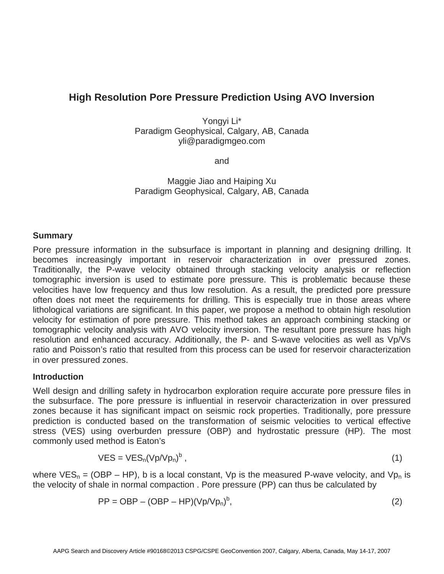# **High Resolution Pore Pressure Prediction Using AVO Inversion**

Yongyi Li\* Paradigm Geophysical, Calgary, AB, Canada yli@paradigmgeo.com

and

Maggie Jiao and Haiping Xu Paradigm Geophysical, Calgary, AB, Canada

## **Summary**

Pore pressure information in the subsurface is important in planning and designing drilling. It becomes increasingly important in reservoir characterization in over pressured zones. Traditionally, the P-wave velocity obtained through stacking velocity analysis or reflection tomographic inversion is used to estimate pore pressure. This is problematic because these velocities have low frequency and thus low resolution. As a result, the predicted pore pressure often does not meet the requirements for drilling. This is especially true in those areas where lithological variations are significant. In this paper, we propose a method to obtain high resolution velocity for estimation of pore pressure. This method takes an approach combining stacking or tomographic velocity analysis with AVO velocity inversion. The resultant pore pressure has high resolution and enhanced accuracy. Additionally, the P- and S-wave velocities as well as Vp/Vs ratio and Poisson's ratio that resulted from this process can be used for reservoir characterization in over pressured zones.

## **Introduction**

Well design and drilling safety in hydrocarbon exploration require accurate pore pressure files in the subsurface. The pore pressure is influential in reservoir characterization in over pressured zones because it has significant impact on seismic rock properties. Traditionally, pore pressure prediction is conducted based on the transformation of seismic velocities to vertical effective stress (VES) using overburden pressure (OBP) and hydrostatic pressure (HP). The most commonly used method is Eaton's

$$
VES = VES_n(Vp/Vp_n)^b, \qquad (1)
$$

where  $VES_n = (OBP - HP)$ , b is a local constant, Vp is the measured P-wave velocity, and Vp<sub>n</sub> is the velocity of shale in normal compaction . Pore pressure (PP) can thus be calculated by

$$
PP = OBP - (OBP - HP)(Vp/Vp_n)^b, \qquad (2)
$$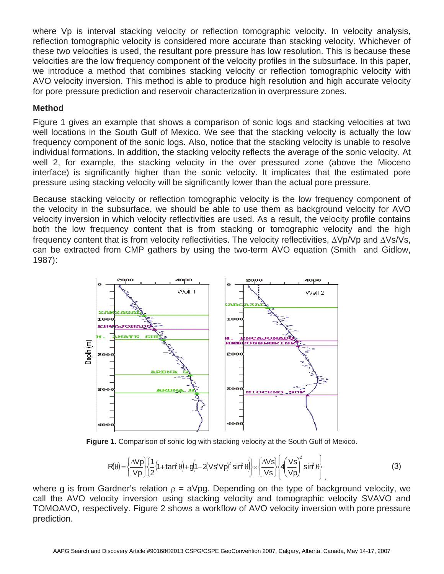where Vp is interval stacking velocity or reflection tomographic velocity. In velocity analysis, reflection tomographic velocity is considered more accurate than stacking velocity. Whichever of these two velocities is used, the resultant pore pressure has low resolution. This is because these velocities are the low frequency component of the velocity profiles in the subsurface. In this paper, we introduce a method that combines stacking velocity or reflection tomographic velocity with AVO velocity inversion. This method is able to produce high resolution and high accurate velocity for pore pressure prediction and reservoir characterization in overpressure zones.

## **Method**

Figure 1 gives an example that shows a comparison of sonic logs and stacking velocities at two well locations in the South Gulf of Mexico. We see that the stacking velocity is actually the low frequency component of the sonic logs. Also, notice that the stacking velocity is unable to resolve individual formations. In addition, the stacking velocity reflects the average of the sonic velocity. At well 2, for example, the stacking velocity in the over pressured zone (above the Mioceno interface) is significantly higher than the sonic velocity. It implicates that the estimated pore pressure using stacking velocity will be significantly lower than the actual pore pressure.

Because stacking velocity or reflection tomographic velocity is the low frequency component of the velocity in the subsurface, we should be able to use them as background velocity for AVO velocity inversion in which velocity reflectivities are used. As a result, the velocity profile contains both the low frequency content that is from stacking or tomographic velocity and the high frequency content that is from velocity reflectivities. The velocity reflectivities,  $\Delta Vp/Vp$  and  $\Delta Vs/Vs$ , can be extracted from CMP gathers by using the two-term AVO equation (Smith and Gidlow, 1987):



**Figure 1.** Comparison of sonic log with stacking velocity at the South Gulf of Mexico.

$$
R(\theta) = \left\{ \frac{\Delta V p}{V p} \right\} \left[ \frac{1}{2} \left( 1 + \tan^2 \theta \right) + g \left( 1 - 2 \left( V s / V p \right)^2 \sin^2 \theta \right) \right\} \times \left\{ \frac{\Delta V s}{V s} \right\} \left[ 4 \left( \frac{V s}{V p} \right)^2 \sin^2 \theta \right],
$$
 (3)

where g is from Gardner's relation  $\rho = aVpg$ . Depending on the type of background velocity, we call the AVO velocity inversion using stacking velocity and tomographic velocity SVAVO and TOMOAVO, respectively. Figure 2 shows a workflow of AVO velocity inversion with pore pressure prediction.